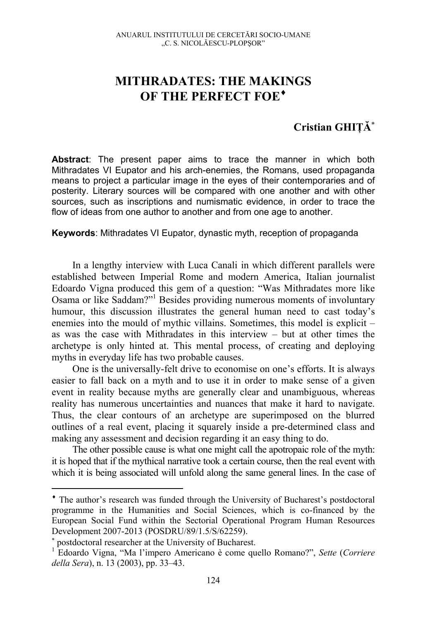## **MITHRADATES: THE MAKINGS OF THE PERFECT FOE**♦

## **Cristian GHIŢĂ**<sup>∗</sup>

**Abstract**: The present paper aims to trace the manner in which both Mithradates VI Eupator and his arch-enemies, the Romans, used propaganda means to project a particular image in the eyes of their contemporaries and of posterity. Literary sources will be compared with one another and with other sources, such as inscriptions and numismatic evidence, in order to trace the flow of ideas from one author to another and from one age to another.

**Keywords**: Mithradates VI Eupator, dynastic myth, reception of propaganda

In a lengthy interview with Luca Canali in which different parallels were established between Imperial Rome and modern America, Italian journalist Edoardo Vigna produced this gem of a question: "Was Mithradates more like Osama or like Saddam?"<sup>1</sup> Besides providing numerous moments of involuntary humour, this discussion illustrates the general human need to cast today's enemies into the mould of mythic villains. Sometimes, this model is explicit – as was the case with Mithradates in this interview – but at other times the archetype is only hinted at. This mental process, of creating and deploying myths in everyday life has two probable causes.

One is the universally-felt drive to economise on one's efforts. It is always easier to fall back on a myth and to use it in order to make sense of a given event in reality because myths are generally clear and unambiguous, whereas reality has numerous uncertainties and nuances that make it hard to navigate. Thus, the clear contours of an archetype are superimposed on the blurred outlines of a real event, placing it squarely inside a pre-determined class and making any assessment and decision regarding it an easy thing to do.

The other possible cause is what one might call the apotropaic role of the myth: it is hoped that if the mythical narrative took a certain course, then the real event with which it is being associated will unfold along the same general lines. In the case of

<sup>♦</sup> The author's research was funded through the University of Bucharest's postdoctoral programme in the Humanities and Social Sciences, which is co-financed by the European Social Fund within the Sectorial Operational Program Human Resources Development 2007-2013 (POSDRU/89/1.5/S/62259).

<sup>∗</sup> postdoctoral researcher at the University of Bucharest. 1

Edoardo Vigna, "Ma l'impero Americano è come quello Romano?", *Sette* (*Corriere della Sera*), n. 13 (2003), pp. 33–43.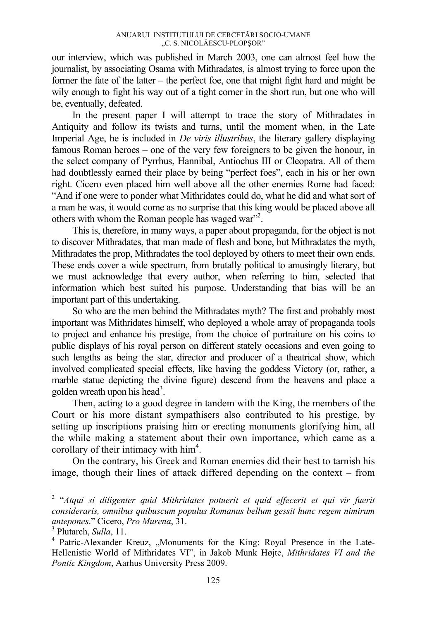our interview, which was published in March 2003, one can almost feel how the journalist, by associating Osama with Mithradates, is almost trying to force upon the former the fate of the latter – the perfect foe, one that might fight hard and might be wily enough to fight his way out of a tight corner in the short run, but one who will be, eventually, defeated.

In the present paper I will attempt to trace the story of Mithradates in Antiquity and follow its twists and turns, until the moment when, in the Late Imperial Age, he is included in *De viris illustribus*, the literary gallery displaying famous Roman heroes – one of the very few foreigners to be given the honour, in the select company of Pyrrhus, Hannibal, Antiochus III or Cleopatra. All of them had doubtlessly earned their place by being "perfect foes", each in his or her own right. Cicero even placed him well above all the other enemies Rome had faced: "And if one were to ponder what Mithridates could do, what he did and what sort of a man he was, it would come as no surprise that this king would be placed above all others with whom the Roman people has waged war"<sup>2</sup>.

This is, therefore, in many ways, a paper about propaganda, for the object is not to discover Mithradates, that man made of flesh and bone, but Mithradates the myth, Mithradates the prop, Mithradates the tool deployed by others to meet their own ends. These ends cover a wide spectrum, from brutally political to amusingly literary, but we must acknowledge that every author, when referring to him, selected that information which best suited his purpose. Understanding that bias will be an important part of this undertaking.

So who are the men behind the Mithradates myth? The first and probably most important was Mithridates himself, who deployed a whole array of propaganda tools to project and enhance his prestige, from the choice of portraiture on his coins to public displays of his royal person on different stately occasions and even going to such lengths as being the star, director and producer of a theatrical show, which involved complicated special effects, like having the goddess Victory (or, rather, a marble statue depicting the divine figure) descend from the heavens and place a golden wreath upon his head<sup>3</sup>.

Then, acting to a good degree in tandem with the King, the members of the Court or his more distant sympathisers also contributed to his prestige, by setting up inscriptions praising him or erecting monuments glorifying him, all the while making a statement about their own importance, which came as a corollary of their intimacy with  $him<sup>4</sup>$ .

On the contrary, his Greek and Roman enemies did their best to tarnish his image, though their lines of attack differed depending on the context – from

<sup>&</sup>lt;sup>2</sup> "Atqui si diligenter quid Mithridates potuerit et quid effecerit et qui vir fuerit *consideraris, omnibus quibuscum populus Romanus bellum gessit hunc regem nimirum antepones.*" Cicero, *Pro Murena*, 31.

<sup>&</sup>lt;sup>3</sup> Plutarch, *Sulla*, 11.

<sup>&</sup>lt;sup>4</sup> Patric-Alexander Kreuz, "Monuments for the King: Royal Presence in the Late-Hellenistic World of Mithridates VI", in Jakob Munk Højte, *Mithridates VI and the Pontic Kingdom*, Aarhus University Press 2009.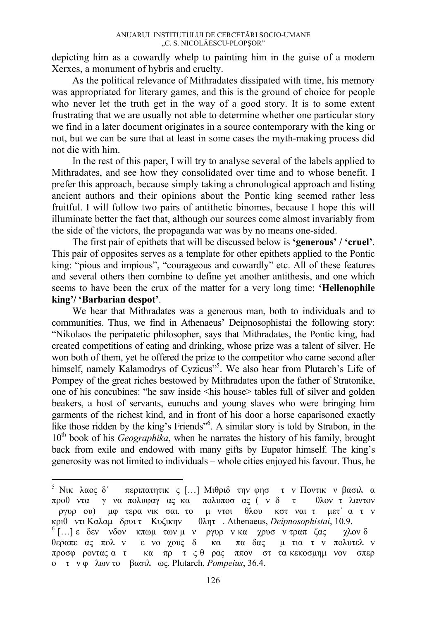depicting him as a cowardly whelp to painting him in the guise of a modern Xerxes, a monument of hybris and cruelty.

As the political relevance of Mithradates dissipated with time, his memory was appropriated for literary games, and this is the ground of choice for people who never let the truth get in the way of a good story. It is to some extent frustrating that we are usually not able to determine whether one particular story we find in a later document originates in a source contemporary with the king or not, but we can be sure that at least in some cases the myth-making process did not die with him.

In the rest of this paper, I will try to analyse several of the labels applied to Mithradates, and see how they consolidated over time and to whose benefit. I prefer this approach, because simply taking a chronological approach and listing ancient authors and their opinions about the Pontic king seemed rather less fruitful. I will follow two pairs of antithetic binomes, because I hope this will illuminate better the fact that, although our sources come almost invariably from the side of the victors, the propaganda war was by no means one-sided.

The first pair of epithets that will be discussed below is **'generous' / 'cruel'**. This pair of opposites serves as a template for other epithets applied to the Pontic king: "pious and impious", "courageous and cowardly" etc. All of these features and several others then combine to define yet another antithesis, and one which seems to have been the crux of the matter for a very long time: **'Hellenophile king'/ 'Barbarian despot'**.

We hear that Mithradates was a generous man, both to individuals and to communities. Thus, we find in Athenaeus' Deipnosophistai the following story: "Nikolaos the peripatetic philosopher, says that Mithradates, the Pontic king, had created competitions of eating and drinking, whose prize was a talent of silver. He won both of them, yet he offered the prize to the competitor who came second after himself, namely Kalamodrys of Cyzicus"<sup>55</sup>. We also hear from Plutarch's Life of Pompey of the great riches bestowed by Mithradates upon the father of Stratonike, one of his concubines: "he saw inside <his house> tables full of silver and golden beakers, a host of servants, eunuchs and young slaves who were bringing him garments of the richest kind, and in front of his door a horse caparisoned exactly like those ridden by the king's Friends"<sup>6</sup>. A similar story is told by Strabon, in the 10<sup>th</sup> book of his *Geographika*, when he narrates the history of his family, brought back from exile and endowed with many gifts by Eupator himself. The king's generosity was not limited to individuals – whole cities enjoyed his favour. Thus, he

<sup>&</sup>lt;sup>5</sup> Νικ λαος δ΄ περιπατητικς [...] Μιθριδ την φησ τ ν Ποντικ ν βασιλ α προθντα γνα πολυφαγας κα πολυποσας (ν δ τ θλον τλαντον ργυρου) μφτερα νικσαι. το μντοι θλου κστναι τ μετ΄ ατν κριθ ντι Καλαμ δρυι τ Κυζικην - θλητ . Athenaeus*, Deipnosophistai,* 10.9.<br><sup>6</sup> [...] ε δεν νδον κπωμ των μ ν ργυρ ν κα χρυσ ν τραπ ζας - χλον δ θεραπεας πολν ενοχους δ κα παδας μτια τν πολυτελν προσφροντας ατ κα πρ τς θρας ππον σττα κεκοσμημνον σπερ ο τν φλων το βασιλως. Plutarch, *Pompeius*, 36.4.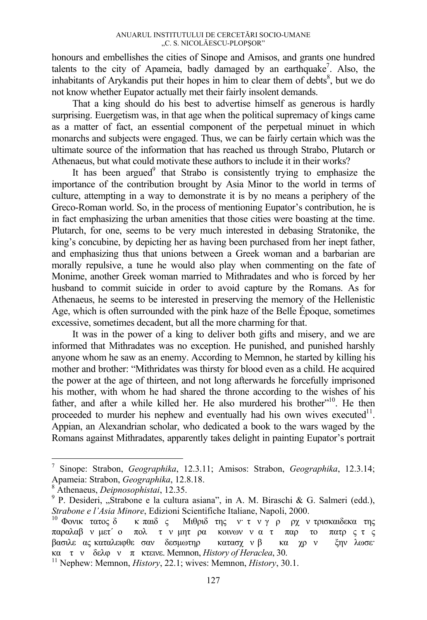honours and embellishes the cities of Sinope and Amisos, and grants one hundred talents to the city of Apameia, badly damaged by an earthquake<sup>7</sup>. Also, the inhabitants of Arykandis put their hopes in him to clear them of debts<sup>8</sup>, but we do not know whether Eupator actually met their fairly insolent demands.

That a king should do his best to advertise himself as generous is hardly surprising. Euergetism was, in that age when the political supremacy of kings came as a matter of fact, an essential component of the perpetual minuet in which monarchs and subjects were engaged. Thus, we can be fairly certain which was the ultimate source of the information that has reached us through Strabo, Plutarch or Athenaeus, but what could motivate these authors to include it in their works?

It has been argued<sup>9</sup> that Strabo is consistently trying to emphasize the importance of the contribution brought by Asia Minor to the world in terms of culture, attempting in a way to demonstrate it is by no means a periphery of the Greco-Roman world. So, in the process of mentioning Eupator's contribution, he is in fact emphasizing the urban amenities that those cities were boasting at the time. Plutarch, for one, seems to be very much interested in debasing Stratonike, the king's concubine, by depicting her as having been purchased from her inept father, and emphasizing thus that unions between a Greek woman and a barbarian are morally repulsive, a tune he would also play when commenting on the fate of Monime, another Greek woman married to Mithradates and who is forced by her husband to commit suicide in order to avoid capture by the Romans. As for Athenaeus, he seems to be interested in preserving the memory of the Hellenistic Age, which is often surrounded with the pink haze of the Belle Époque, sometimes excessive, sometimes decadent, but all the more charming for that.

It was in the power of a king to deliver both gifts and misery, and we are informed that Mithradates was no exception. He punished, and punished harshly anyone whom he saw as an enemy. According to Memnon, he started by killing his mother and brother: "Mithridates was thirsty for blood even as a child. He acquired the power at the age of thirteen, and not long afterwards he forcefully imprisoned his mother, with whom he had shared the throne according to the wishes of his father, and after a while killed her. He also murdered his brother"<sup>10</sup>. He then proceeded to murder his nephew and eventually had his own wives executed $1^1$ . Appian, an Alexandrian scholar, who dedicated a book to the wars waged by the Romans against Mithradates, apparently takes delight in painting Eupator's portrait

<sup>7</sup> Sinope: Strabon, *Geographika*, 12.3.11; Amisos: Strabon, *Geographika*, 12.3.14; Apameia: Strabon, *Geographika*, 12.8.18.

Athenaeus, *Deipnosophistai*, 12.35. 9

<sup>&</sup>lt;sup>9</sup> P. Desideri, "Strabone e la cultura asiana", in A. M. Biraschi & G. Salmeri (edd.), *Strabone e l'Asia Minore*, Edizioni Scientifiche Italiane, Napoli, 2000.<br><sup>10</sup> Φονικ τατος δ κπαιδς Μιθριδτης ν· τ ν γρ ρχν τρισκαιδεκα της

παραλαβν μετ΄ ο πολ τν μητρα κοινωνν ατ παρ το πατρς τς βασιλε ας καταλειφθε σαν δεσμωτηρ κατασχνβ κα χρν ξην λωσε·<br>κα τ ν δελφνπ κτεινε. Memnon, *History of Heraclea*, 30.

<sup>&</sup>lt;sup>11</sup> Nephew: Memnon, *History*, 22.1; wives: Memnon, *History*, 30.1.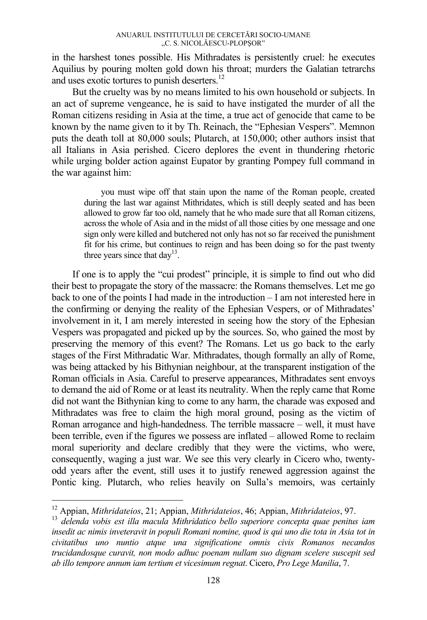in the harshest tones possible. His Mithradates is persistently cruel: he executes Aquilius by pouring molten gold down his throat; murders the Galatian tetrarchs and uses exotic tortures to punish deserters.12

But the cruelty was by no means limited to his own household or subjects. In an act of supreme vengeance, he is said to have instigated the murder of all the Roman citizens residing in Asia at the time, a true act of genocide that came to be known by the name given to it by Th. Reinach, the "Ephesian Vespers". Memnon puts the death toll at 80,000 souls; Plutarch, at 150,000; other authors insist that all Italians in Asia perished. Cicero deplores the event in thundering rhetoric while urging bolder action against Eupator by granting Pompey full command in the war against him:

> you must wipe off that stain upon the name of the Roman people, created during the last war against Mithridates, which is still deeply seated and has been allowed to grow far too old, namely that he who made sure that all Roman citizens, across the whole of Asia and in the midst of all those cities by one message and one sign only were killed and butchered not only has not so far received the punishment fit for his crime, but continues to reign and has been doing so for the past twenty three years since that  $day^{13}$ .

If one is to apply the "cui prodest" principle, it is simple to find out who did their best to propagate the story of the massacre: the Romans themselves. Let me go back to one of the points I had made in the introduction – I am not interested here in the confirming or denying the reality of the Ephesian Vespers, or of Mithradates' involvement in it, I am merely interested in seeing how the story of the Ephesian Vespers was propagated and picked up by the sources. So, who gained the most by preserving the memory of this event? The Romans. Let us go back to the early stages of the First Mithradatic War. Mithradates, though formally an ally of Rome, was being attacked by his Bithynian neighbour, at the transparent instigation of the Roman officials in Asia. Careful to preserve appearances, Mithradates sent envoys to demand the aid of Rome or at least its neutrality. When the reply came that Rome did not want the Bithynian king to come to any harm, the charade was exposed and Mithradates was free to claim the high moral ground, posing as the victim of Roman arrogance and high-handedness. The terrible massacre – well, it must have been terrible, even if the figures we possess are inflated – allowed Rome to reclaim moral superiority and declare credibly that they were the victims, who were, consequently, waging a just war. We see this very clearly in Cicero who, twentyodd years after the event, still uses it to justify renewed aggression against the Pontic king. Plutarch, who relies heavily on Sulla's memoirs, was certainly

<sup>&</sup>lt;sup>12</sup> Appian, *Mithridateios*, 21; Appian, *Mithridateios*, 46; Appian, *Mithridateios*, 97.<br><sup>13</sup> delenda vobis est illa macula Mithridatico bello superiore concepta quae penitus iam *insedit ac nimis inveteravit in populi Romani nomine, quod is qui uno die tota in Asia tot in civitatibus uno nuntio atque una significatione omnis civis Romanos necandos trucidandosque curavit, non modo adhuc poenam nullam suo dignam scelere suscepit sed ab illo tempore annum iam tertium et vicesimum regnat*. Cicero, *Pro Lege Manilia*, 7.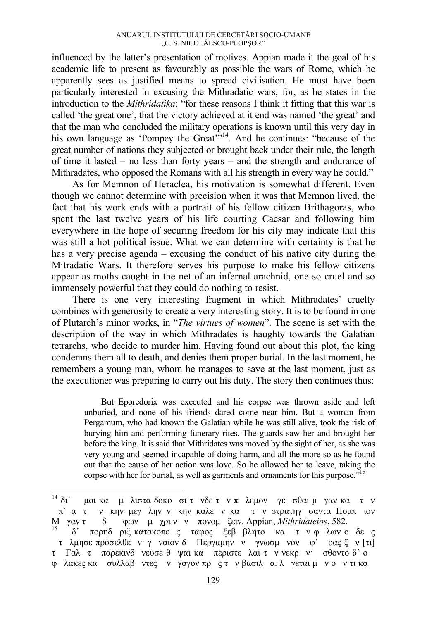influenced by the latter's presentation of motives. Appian made it the goal of his academic life to present as favourably as possible the wars of Rome, which he apparently sees as justified means to spread civilisation. He must have been particularly interested in excusing the Mithradatic wars, for, as he states in the introduction to the *Mithridatika*: "for these reasons I think it fitting that this war is called 'the great one', that the victory achieved at it end was named 'the great' and that the man who concluded the military operations is known until this very day in his own language as 'Pompey the Great'<sup>"14</sup>. And he continues: "because of the great number of nations they subjected or brought back under their rule, the length of time it lasted – no less than forty years – and the strength and endurance of Mithradates, who opposed the Romans with all his strength in every way he could."

As for Memnon of Heraclea, his motivation is somewhat different. Even though we cannot determine with precision when it was that Memnon lived, the fact that his work ends with a portrait of his fellow citizen Brithagoras, who spent the last twelve years of his life courting Caesar and following him everywhere in the hope of securing freedom for his city may indicate that this was still a hot political issue. What we can determine with certainty is that he has a very precise agenda – excusing the conduct of his native city during the Mitradatic Wars. It therefore serves his purpose to make his fellow citizens appear as moths caught in the net of an infernal arachnid, one so cruel and so immensely powerful that they could do nothing to resist.

There is one very interesting fragment in which Mithradates' cruelty combines with generosity to create a very interesting story. It is to be found in one of Plutarch's minor works, in "*The virtues of women*". The scene is set with the description of the way in which Mithradates is haughty towards the Galatian tetrarchs, who decide to murder him. Having found out about this plot, the king condemns them all to death, and denies them proper burial. In the last moment, he remembers a young man, whom he manages to save at the last moment, just as the executioner was preparing to carry out his duty. The story then continues thus:

But Eporedorix was executed and his corpse was thrown aside and left unburied, and none of his friends dared come near him. But a woman from Pergamum, who had known the Galatian while he was still alive, took the risk of burying him and performing funerary rites. The guards saw her and brought her before the king. It is said that Mithridates was moved by the sight of her, as she was very young and seemed incapable of doing harm, and all the more so as he found out that the cause of her action was love. So he allowed her to leave, taking the corpse with her for burial, as well as garments and ornaments for this purpose."<sup>15</sup>

<sup>&</sup>lt;sup>14</sup> δι΄ μοι κα μλιστα δοκο σιτνδετν πλεμον γεσθαι μγαν κα τν π΄ α τ ν κην μεγλην ν κην καλε ν κα τ ν στρατηγ σαντα Πομπιον<br>1 γαντ - δ - φων μ χριν ν πονομ ζειν. Appian, *Mithridateios*, 582. M γαν τ δ φων μχριν ν πονομ ζειν. Appian, *Mithridateios*, 582.<br><sup>15</sup> δ΄ πορηδριξ κατακοπες ταφος ξεββλητο κα τν φλων οδες

τλμησε προσελθεν· γναιον δ Περγαμηνν γνωσμνον φ΄ ρας ζν [τι] τ Γαλτ παρεκινδνευσε θψαι κα περιστελαι τν νεκρν· σθοντο δ΄ ο φλακες κα συλλαβντες νγαγον πρς τν βασιλα. λγεται μν ον τι κα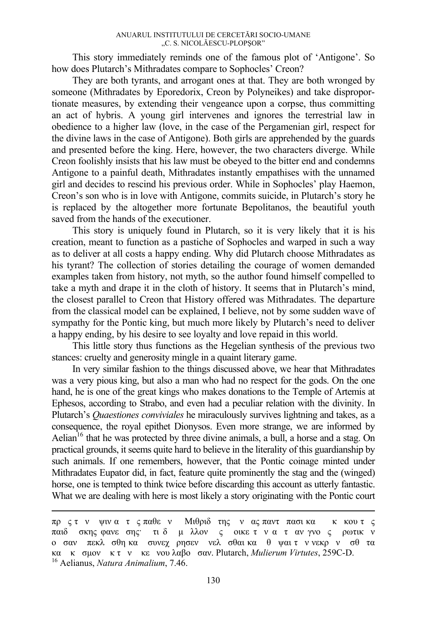This story immediately reminds one of the famous plot of 'Antigone'. So how does Plutarch's Mithradates compare to Sophocles' Creon?

They are both tyrants, and arrogant ones at that. They are both wronged by someone (Mithradates by Eporedorix, Creon by Polyneikes) and take disproportionate measures, by extending their vengeance upon a corpse, thus committing an act of hybris. A young girl intervenes and ignores the terrestrial law in obedience to a higher law (love, in the case of the Pergamenian girl, respect for the divine laws in the case of Antigone). Both girls are apprehended by the guards and presented before the king. Here, however, the two characters diverge. While Creon foolishly insists that his law must be obeyed to the bitter end and condemns Antigone to a painful death, Mithradates instantly empathises with the unnamed girl and decides to rescind his previous order. While in Sophocles' play Haemon, Creon's son who is in love with Antigone, commits suicide, in Plutarch's story he is replaced by the altogether more fortunate Bepolitanos, the beautiful youth saved from the hands of the executioner.

This story is uniquely found in Plutarch, so it is very likely that it is his creation, meant to function as a pastiche of Sophocles and warped in such a way as to deliver at all costs a happy ending. Why did Plutarch choose Mithradates as his tyrant? The collection of stories detailing the courage of women demanded examples taken from history, not myth, so the author found himself compelled to take a myth and drape it in the cloth of history. It seems that in Plutarch's mind, the closest parallel to Creon that History offered was Mithradates. The departure from the classical model can be explained, I believe, not by some sudden wave of sympathy for the Pontic king, but much more likely by Plutarch's need to deliver a happy ending, by his desire to see loyalty and love repaid in this world.

This little story thus functions as the Hegelian synthesis of the previous two stances: cruelty and generosity mingle in a quaint literary game.

In very similar fashion to the things discussed above, we hear that Mithradates was a very pious king, but also a man who had no respect for the gods. On the one hand, he is one of the great kings who makes donations to the Temple of Artemis at Ephesos, according to Strabo, and even had a peculiar relation with the divinity. In Plutarch's *Quaestiones conviviales* he miraculously survives lightning and takes, as a consequence, the royal epithet Dionysos. Even more strange, we are informed by Aelian<sup>16</sup> that he was protected by three divine animals, a bull, a horse and a stag. On practical grounds, it seems quite hard to believe in the literality of this guardianship by such animals. If one remembers, however, that the Pontic coinage minted under Mithradates Eupator did, in fact, feature quite prominently the stag and the (winged) horse, one is tempted to think twice before discarding this account as utterly fantastic. What we are dealing with here is most likely a story originating with the Pontic court

πρς τν ψινα τς παθεν Μιθριδτης νας παντπασι κα κκουτς παιδ σκης φανεσης· τι δ μλλον ς οικε τν αταν γνος ρωτικν οσαν πεκλσθη κα συνεχρησεν νελσθαι κα θψαι τν νεκρν σθτα κα <sup>κ</sup>σμον <sup>κ</sup> <sup>τ</sup><sup>ν</sup> κενου λαβοσαν. Plutarch, *Mulierum Virtutes*, 259C-D. 16 Aelianus, *Natura Animalium*, 7.46.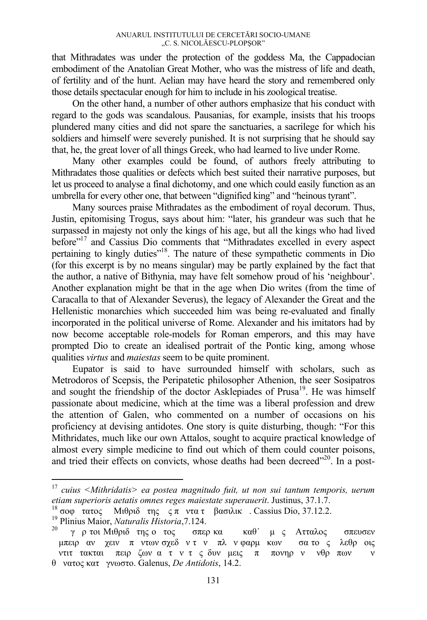that Mithradates was under the protection of the goddess Ma, the Cappadocian embodiment of the Anatolian Great Mother, who was the mistress of life and death, of fertility and of the hunt. Aelian may have heard the story and remembered only those details spectacular enough for him to include in his zoological treatise.

On the other hand, a number of other authors emphasize that his conduct with regard to the gods was scandalous. Pausanias, for example, insists that his troops plundered many cities and did not spare the sanctuaries, a sacrilege for which his soldiers and himself were severely punished. It is not surprising that he should say that, he, the great lover of all things Greek, who had learned to live under Rome.

Many other examples could be found, of authors freely attributing to Mithradates those qualities or defects which best suited their narrative purposes, but let us proceed to analyse a final dichotomy, and one which could easily function as an umbrella for every other one, that between "dignified king" and "heinous tyrant".

Many sources praise Mithradates as the embodiment of royal decorum. Thus, Justin, epitomising Trogus, says about him: "later, his grandeur was such that he surpassed in majesty not only the kings of his age, but all the kings who had lived before"17 and Cassius Dio comments that "Mithradates excelled in every aspect pertaining to kingly duties"18. The nature of these sympathetic comments in Dio (for this excerpt is by no means singular) may be partly explained by the fact that the author, a native of Bithynia, may have felt somehow proud of his 'neighbour'. Another explanation might be that in the age when Dio writes (from the time of Caracalla to that of Alexander Severus), the legacy of Alexander the Great and the Hellenistic monarchies which succeeded him was being re-evaluated and finally incorporated in the political universe of Rome. Alexander and his imitators had by now become acceptable role-models for Roman emperors, and this may have prompted Dio to create an idealised portrait of the Pontic king, among whose qualities *virtus* and *maiestas* seem to be quite prominent.

Eupator is said to have surrounded himself with scholars, such as Metrodoros of Scepsis, the Peripatetic philosopher Athenion, the seer Sosipatros and sought the friendship of the doctor Asklepiades of Prusa<sup>19</sup>. He was himself passionate about medicine, which at the time was a liberal profession and drew the attention of Galen, who commented on a number of occasions on his proficiency at devising antidotes. One story is quite disturbing, though: "For this Mithridates, much like our own Attalos, sought to acquire practical knowledge of almost every simple medicine to find out which of them could counter poisons, and tried their effects on convicts, whose deaths had been decreed"<sup>20</sup>. In a post-

<sup>17</sup> *cuius <Mithridatis> ea postea magnitudo fuit, ut non sui tantum temporis, uerum*  etiam superioris aetatis omnes reges maiestate superauerit. Justinus, 37.1.7.<br><sup>18</sup> σοφ τατος Μιθριδ της ς π ντα τ βασιλικ. Cassius Dio, 37.12.2.<br><sup>19</sup> Plinius Maior, *Naturalis Historia*, 7.124.<br><sup>20</sup> γ ρ τοι Μιθριδ της ο

μπειραν χειν πντων σχεδν τν πλν φαρμκων σα τος λεθροις ντιττακται πειρζων ατν τς δυνμεις π πονηρν νθρπων ν θνατος κατγνωστο. Galenus, *De Antidotis*, 14.2.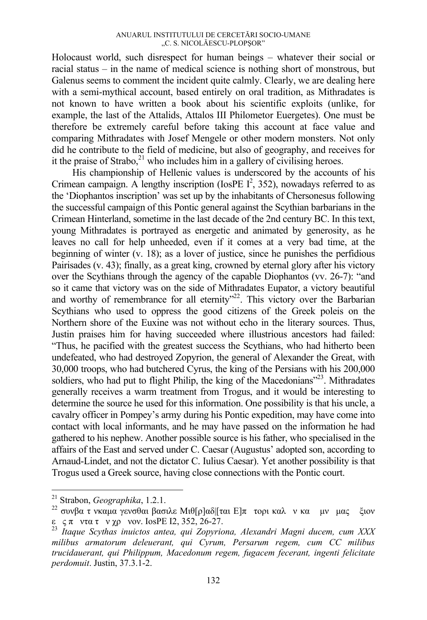Holocaust world, such disrespect for human beings – whatever their social or racial status – in the name of medical science is nothing short of monstrous, but Galenus seems to comment the incident quite calmly. Clearly, we are dealing here with a semi-mythical account, based entirely on oral tradition, as Mithradates is not known to have written a book about his scientific exploits (unlike, for example, the last of the Attalids, Attalos III Philometor Euergetes). One must be therefore be extremely careful before taking this account at face value and comparing Mithradates with Josef Mengele or other modern monsters. Not only did he contribute to the field of medicine, but also of geography, and receives for it the praise of Strabo, $^{21}$  who includes him in a gallery of civilising heroes.

His championship of Hellenic values is underscored by the accounts of his Crimean campaign. A lengthy inscription (IosPE  $I^2$ , 352), nowadays referred to as the 'Diophantos inscription' was set up by the inhabitants of Chersonesus following the successful campaign of this Pontic general against the Scythian barbarians in the Crimean Hinterland, sometime in the last decade of the 2nd century BC. In this text, young Mithradates is portrayed as energetic and animated by generosity, as he leaves no call for help unheeded, even if it comes at a very bad time, at the beginning of winter (v. 18); as a lover of justice, since he punishes the perfidious Pairisades (v. 43); finally, as a great king, crowned by eternal glory after his victory over the Scythians through the agency of the capable Diophantos (vv. 26-7): "and so it came that victory was on the side of Mithradates Eupator, a victory beautiful and worthy of remembrance for all eternity $^{22}$ . This victory over the Barbarian Scythians who used to oppress the good citizens of the Greek poleis on the Northern shore of the Euxine was not without echo in the literary sources. Thus, Justin praises him for having succeeded where illustrious ancestors had failed: "Thus, he pacified with the greatest success the Scythians, who had hitherto been undefeated, who had destroyed Zopyrion, the general of Alexander the Great, with 30,000 troops, who had butchered Cyrus, the king of the Persians with his 200,000 soldiers, who had put to flight Philip, the king of the Macedonians<sup>"23</sup>. Mithradates generally receives a warm treatment from Trogus, and it would be interesting to determine the source he used for this information. One possibility is that his uncle, a cavalry officer in Pompey's army during his Pontic expedition, may have come into contact with local informants, and he may have passed on the information he had gathered to his nephew. Another possible source is his father, who specialised in the affairs of the East and served under C. Caesar (Augustus' adopted son, according to Arnaud-Lindet, and not the dictator C. Iulius Caesar). Yet another possibility is that Trogus used a Greek source, having close connections with the Pontic court.

 $21$  Strabon. Geographika. 1.2.1.

<sup>&</sup>lt;sup>22</sup> συνβα τ νκαμα γενσθαι βασιλε Μιθ[ρ]αδ|[ται Ε]π τορι καλ ν κα μν μας ξιον ε ςπ ντα τ ν χρ νον. IosPE I2, 352, 26-27.

<sup>&</sup>lt;sup>23</sup> Itaque Scythas inuictos antea, qui Zopyriona, Alexandri Magni ducem, cum XXX *milibus armatorum deleuerant, qui Cyrum, Persarum regem, cum CC milibus trucidauerant, qui Philippum, Macedonum regem, fugacem fecerant, ingenti felicitate perdomuit*. Justin, 37.3.1-2.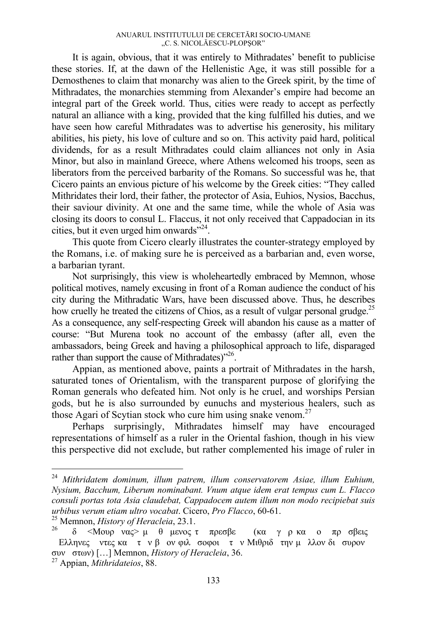It is again, obvious, that it was entirely to Mithradates' benefit to publicise these stories. If, at the dawn of the Hellenistic Age, it was still possible for a Demosthenes to claim that monarchy was alien to the Greek spirit, by the time of Mithradates, the monarchies stemming from Alexander's empire had become an integral part of the Greek world. Thus, cities were ready to accept as perfectly natural an alliance with a king, provided that the king fulfilled his duties, and we have seen how careful Mithradates was to advertise his generosity, his military abilities, his piety, his love of culture and so on. This activity paid hard, political dividends, for as a result Mithradates could claim alliances not only in Asia Minor, but also in mainland Greece, where Athens welcomed his troops, seen as liberators from the perceived barbarity of the Romans. So successful was he, that Cicero paints an envious picture of his welcome by the Greek cities: "They called Mithridates their lord, their father, the protector of Asia, Euhios, Nysios, Bacchus, their saviour divinity. At one and the same time, while the whole of Asia was closing its doors to consul L. Flaccus, it not only received that Cappadocian in its cities, but it even urged him onwards"<sup>24</sup>.

This quote from Cicero clearly illustrates the counter-strategy employed by the Romans, i.e. of making sure he is perceived as a barbarian and, even worse, a barbarian tyrant.

Not surprisingly, this view is wholeheartedly embraced by Memnon, whose political motives, namely excusing in front of a Roman audience the conduct of his city during the Mithradatic Wars, have been discussed above. Thus, he describes how cruelly he treated the citizens of Chios, as a result of vulgar personal grudge.<sup>25</sup> As a consequence, any self-respecting Greek will abandon his cause as a matter of course: "But Murena took no account of the embassy (after all, even the ambassadors, being Greek and having a philosophical approach to life, disparaged rather than support the cause of Mithradates)<sup>226</sup>.

Appian, as mentioned above, paints a portrait of Mithradates in the harsh, saturated tones of Orientalism, with the transparent purpose of glorifying the Roman generals who defeated him. Not only is he cruel, and worships Persian gods, but he is also surrounded by eunuchs and mysterious healers, such as those Agari of Scytian stock who cure him using snake venom.<sup>27</sup>

Perhaps surprisingly, Mithradates himself may have encouraged representations of himself as a ruler in the Oriental fashion, though in his view this perspective did not exclude, but rather complemented his image of ruler in

<sup>24</sup> *Mithridatem dominum, illum patrem, illum conservatorem Asiae, illum Euhium, Nysium, Bacchum, Liberum nominabant. Vnum atque idem erat tempus cum L. Flacco consuli portas tota Asia claudebat, Cappadocem autem illum non modo recipiebat suis urbibus verum etiam ultro vocabat*. Cicero, *Pro Flacco*, 60-61.<br><sup>25</sup> Memnon, *History of Heracleia*, 23.1.<br><sup>26</sup> δ <Μουρ νας> μ θμενος τ πρεσβε (κα γρ κα ο προβεις

Ελληνες ντες κα τ ν β ον φιλ σοφοι τ ν Μιθριδ την μ λλον δι συρον συνστων) […] Memnon, *History of Heracleia*, 36. 27 Appian, *Mithridateios*, 88.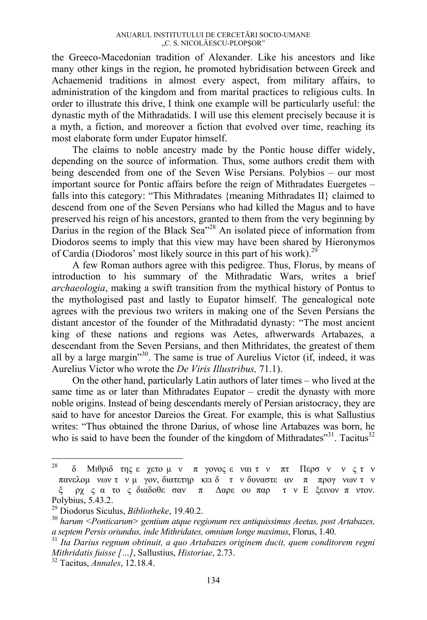the Greeco-Macedonian tradition of Alexander. Like his ancestors and like many other kings in the region, he promoted hybridisation between Greek and Achaemenid traditions in almost every aspect, from military affairs, to administration of the kingdom and from marital practices to religious cults. In order to illustrate this drive, I think one example will be particularly useful: the dynastic myth of the Mithradatids. I will use this element precisely because it is a myth, a fiction, and moreover a fiction that evolved over time, reaching its most elaborate form under Eupator himself.

The claims to noble ancestry made by the Pontic house differ widely, depending on the source of information. Thus, some authors credit them with being descended from one of the Seven Wise Persians. Polybios – our most important source for Pontic affairs before the reign of Mithradates Euergetes – falls into this category: "This Mithradates {meaning Mithradates II} claimed to descend from one of the Seven Persians who had killed the Magus and to have preserved his reign of his ancestors, granted to them from the very beginning by Darius in the region of the Black Sea<sup>"28</sup> An isolated piece of information from Diodoros seems to imply that this view may have been shared by Hieronymos of Cardia (Diodoros' most likely source in this part of his work).<sup>29</sup>

A few Roman authors agree with this pedigree. Thus, Florus, by means of introduction to his summary of the Mithradatic Wars, writes a brief *archaeologia*, making a swift transition from the mythical history of Pontus to the mythologised past and lastly to Eupator himself. The genealogical note agrees with the previous two writers in making one of the Seven Persians the distant ancestor of the founder of the Mithradatid dynasty: "The most ancient king of these nations and regions was Aetes, aftwerwards Artabazes, a descendant from the Seven Persians, and then Mithridates, the greatest of them all by a large margin"30. The same is true of Aurelius Victor (if, indeed, it was Aurelius Victor who wrote the *De Viris Illustribus,* 71.1).

On the other hand, particularly Latin authors of later times – who lived at the same time as or later than Mithradates Eupator – credit the dynasty with more noble origins. Instead of being descendants merely of Persian aristocracy, they are said to have for ancestor Dareios the Great. For example, this is what Sallustius writes: "Thus obtained the throne Darius, of whose line Artabazes was born, he who is said to have been the founder of the kingdom of Mithradates $^{331}$ . Tacitus<sup>32</sup>

 $28$ δ Μιθριδ της εγετο μν πγονος εναι τν πτ Περσν νς τν πανελομ νων τ ν μ γον, διατετηρ κει δ τ ν δυναστε αν π προγνων τ ν ξ ρχς ατος διαδοθεσαν π Δαρεου παρ τν Εξεινον πντον. Polybius, 5.43.2.<br><sup>29</sup> Diodorus Siculus, *Bibliotheke*, 19.40.2.

<sup>&</sup>lt;sup>30</sup> harum <Ponticarum> gentium atque regionum rex antiquissimus Aeetas, post Artabazes, *a septem Persis oriundus, inde Mithridates, omnium longe maximus*, Florus, 1.40. 31 *Ita Darius regnum obtinuit, a quo Artabazes originem ducit, quem conditorem regni* 

*Mithridatis fuisse […]*, Sallustius, *Historiae*, 2.73. 32 Tacitus, *Annales*, 12.18.4.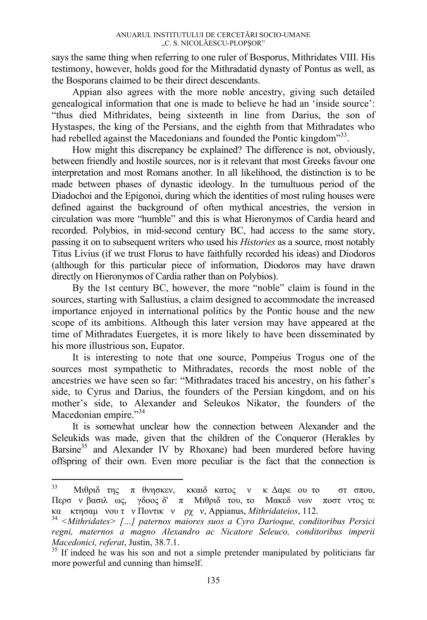says the same thing when referring to one ruler of Bosporus, Mithridates VIII. His testimony, however, holds good for the Mithradatid dynasty of Pontus as well, as the Bosporans claimed to be their direct descendants.

Appian also agrees with the more noble ancestry, giving such detailed genealogical information that one is made to believe he had an 'inside source': "thus died Mithridates, being sixteenth in line from Darius, the son of Hystaspes, the king of the Persians, and the eighth from that Mithradates who had rebelled against the Macedonians and founded the Pontic kingdom<sup>333</sup>.

How might this discrepancy be explained? The difference is not, obviously, between friendly and hostile sources, nor is it relevant that most Greeks favour one interpretation and most Romans another. In all likelihood, the distinction is to be made between phases of dynastic ideology. In the tumultuous period of the Diadochoi and the Epigonoi, during which the identities of most ruling houses were defined against the background of often mythical ancestries, the version in circulation was more "humble" and this is what Hieronymos of Cardia heard and recorded. Polybios, in mid-second century BC, had access to the same story, passing it on to subsequent writers who used his *Histories* as a source, most notably Titus Livius (if we trust Florus to have faithfully recorded his ideas) and Diodoros (although for this particular piece of information, Diodoros may have drawn directly on Hieronymos of Cardia rather than on Polybios).

By the 1st century BC, however, the more "noble" claim is found in the sources, starting with Sallustius, a claim designed to accommodate the increased importance enjoyed in international politics by the Pontic house and the new scope of its ambitions. Although this later version may have appeared at the time of Mithradates Euergetes, it is more likely to have been disseminated by his more illustrious son, Eupator.

It is interesting to note that one source, Pompeius Trogus one of the sources most sympathetic to Mithradates, records the most noble of the ancestries we have seen so far: "Mithradates traced his ancestry, on his father's side, to Cyrus and Darius, the founders of the Persian kingdom, and on his mother's side, to Alexander and Seleukos Nikator, the founders of the Macedonian empire."34

It is somewhat unclear how the connection between Alexander and the Seleukids was made, given that the children of the Conqueror (Herakles by Barsine<sup>35</sup> and Alexander IV by Rhoxane) had been murdered before having offspring of their own. Even more peculiar is the fact that the connection is

<sup>&</sup>lt;sup>33</sup> Μιθριδ της πθνησκεν, κκαιδ κατος ν κ Δαρε ου το στ σπου, Περσν βασιλως, γδοος δ' π Μιθριδτου, το Μακεδνων ποστντος τε

κα κτησαμνου <sup>τ</sup><sup>ν</sup> Ποντικ<sup>ν</sup> ρχ<sup>ν</sup>, Appianus, *Mithridateios*, 112. 34 *<Mithridates> […] paternos maiores suos a Cyro Darioque, conditoribus Persici regni, maternos a magno Alexandro ac Nicatore Seleuco, conditoribus imperii Macedonici, referat*, Justin, 38.7.1.<br><sup>35</sup> If indeed he was his son and not a simple pretender manipulated by politicians far

more powerful and cunning than himself.